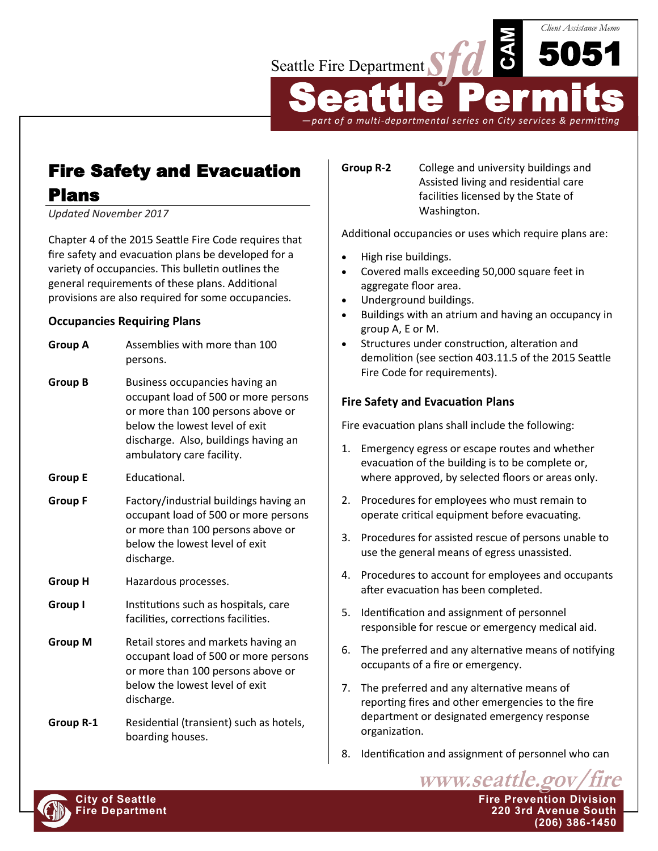

*—part of a multi-departmental series on City services & permitting*

# Fire Safety and Evacuation Plans

*Updated November 2017*

Chapter 4 of the 2015 Seattle Fire Code requires that fire safety and evacuation plans be developed for a variety of occupancies. This bulletin outlines the general requirements of these plans. Additional provisions are also required for some occupancies.

# **Occupancies Requiring Plans**

| <b>Group A</b> | Assemblies with more than 100<br>persons.                                                                                                                                                                          |  |
|----------------|--------------------------------------------------------------------------------------------------------------------------------------------------------------------------------------------------------------------|--|
| <b>Group B</b> | Business occupancies having an<br>occupant load of 500 or more persons<br>or more than 100 persons above or<br>below the lowest level of exit<br>discharge. Also, buildings having an<br>ambulatory care facility. |  |
| <b>Group E</b> | Educational.                                                                                                                                                                                                       |  |
| <b>Group F</b> | Factory/industrial buildings having an<br>occupant load of 500 or more persons<br>or more than 100 persons above or<br>below the lowest level of exit<br>discharge.                                                |  |
| <b>Group H</b> | Hazardous processes.                                                                                                                                                                                               |  |
| <b>Group I</b> | Institutions such as hospitals, care<br>facilities, corrections facilities.                                                                                                                                        |  |
| <b>Group M</b> | Retail stores and markets having an<br>occupant load of 500 or more persons<br>or more than 100 persons above or<br>below the lowest level of exit<br>discharge.                                                   |  |
| Group R-1      | Residential (transient) such as hotels,                                                                                                                                                                            |  |

boarding houses.

**Group R-2** College and university buildings and Assisted living and residential care facilities licensed by the State of Washington.

Additional occupancies or uses which require plans are:

- High rise buildings.
- Covered malls exceeding 50,000 square feet in aggregate floor area.
- Underground buildings.
- Buildings with an atrium and having an occupancy in group A, E or M.
- Structures under construction, alteration and demolition (see section 403.11.5 of the 2015 Seattle Fire Code for requirements).

# **Fire Safety and Evacuation Plans**

Fire evacuation plans shall include the following:

- 1. Emergency egress or escape routes and whether evacuation of the building is to be complete or, where approved, by selected floors or areas only.
- 2. Procedures for employees who must remain to operate critical equipment before evacuating.
- 3. Procedures for assisted rescue of persons unable to use the general means of egress unassisted.
- 4. Procedures to account for employees and occupants after evacuation has been completed.
- 5. Identification and assignment of personnel responsible for rescue or emergency medical aid.
- 6. The preferred and any alternative means of notifying occupants of a fire or emergency.
- 7. The preferred and any alternative means of reporting fires and other emergencies to the fire department or designated emergency response organization.
- 8. Identification and assignment of personnel who can

www.seattle.gov



**City of Seattle Fire Prevention Division Fire Department 220 3rd Avenue South (206) 386-1450**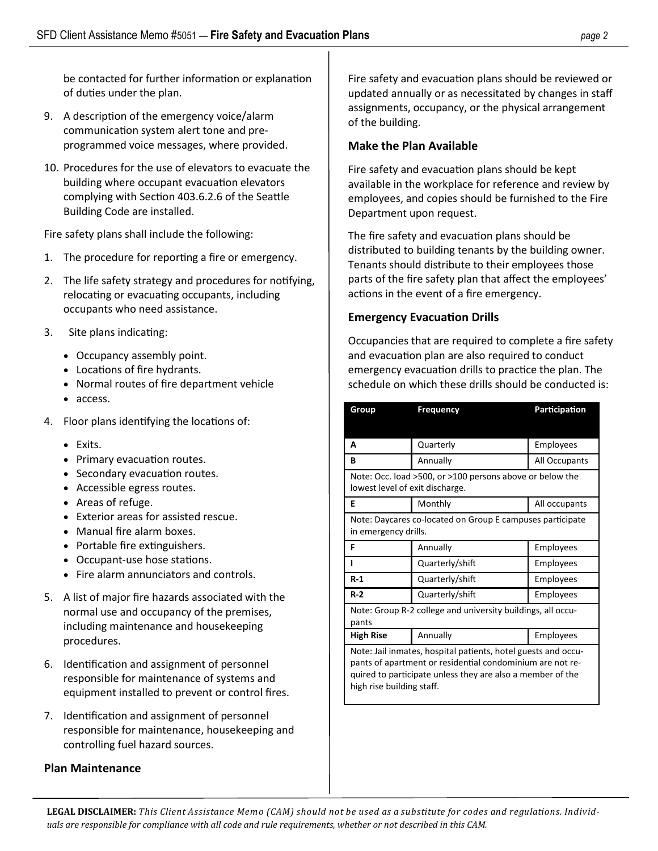be contacted for further information or explanation of duties under the plan.

- 9. A description of the emergency voice/alarm communication system alert tone and preprogrammed voice messages, where provided.
- 10. Procedures for the use of elevators to evacuate the building where occupant evacuation elevators complying with Section 403.6.2.6 of the Seattle Building Code are installed.

Fire safety plans shall include the following:

- 1. The procedure for reporting a fire or emergency.
- 2. The life safety strategy and procedures for notifying, relocating or evacuating occupants, including occupants who need assistance.
- 3. Site plans indicating:
	- Occupancy assembly point.
	- Locations of fire hydrants.
	- Normal routes of fire department vehicle
	- access.
- 4. Floor plans identifying the locations of:
	- Exits.
	- Primary evacuation routes.
	- Secondary evacuation routes.
	- Accessible egress routes.
	- Areas of refuge.
	- Exterior areas for assisted rescue.
	- Manual fire alarm boxes.
	- Portable fire extinguishers.
	- Occupant-use hose stations.
	- Fire alarm annunciators and controls.
- 5. A list of major fire hazards associated with the normal use and occupancy of the premises, including maintenance and housekeeping procedures.
- 6. Identification and assignment of personnel responsible for maintenance of systems and equipment installed to prevent or control fires.
- 7. Identification and assignment of personnel responsible for maintenance, housekeeping and controlling fuel hazard sources.

#### **Plan Maintenance**

Fire safety and evacuation plans should be reviewed or updated annually or as necessitated by changes in staff assignments, occupancy, or the physical arrangement of the building.

#### **Make the Plan Available**

Fire safety and evacuation plans should be kept available in the workplace for reference and review by employees, and copies should be furnished to the Fire Department upon request.

The fire safety and evacuation plans should be distributed to building tenants by the building owner. Tenants should distribute to their employees those parts of the fire safety plan that affect the employees' actions in the event of a fire emergency.

#### **Emergency Evacuation Drills**

Occupancies that are required to complete a fire safety and evacuation plan are also required to conduct emergency evacuation drills to practice the plan. The schedule on which these drills should be conducted is:

| Group                                                                                       | <b>Frequency</b> | Participation |  |
|---------------------------------------------------------------------------------------------|------------------|---------------|--|
|                                                                                             |                  |               |  |
| A                                                                                           | Quarterly        | Employees     |  |
| в                                                                                           | Annually         | All Occupants |  |
| Note: Occ. load >500, or >100 persons above or below the<br>lowest level of exit discharge. |                  |               |  |
| Е                                                                                           | Monthly          | All occupants |  |
| Note: Daycares co-located on Group E campuses participate<br>in emergency drills.           |                  |               |  |
| F                                                                                           | Annually         | Employees     |  |
|                                                                                             | Quarterly/shift  | Employees     |  |
| $R-1$                                                                                       | Quarterly/shift  | Employees     |  |
| $R-2$                                                                                       | Quarterly/shift  | Employees     |  |
| Note: Group R-2 college and university buildings, all occu-<br>pants                        |                  |               |  |
| <b>High Rise</b>                                                                            | Annually         | Employees     |  |
| Note: Jail inmates, hospital patients, hotel guests and occu-                               |                  |               |  |

pants of apartment or residential condominium are not required to participate unless they are also a member of the high rise building staff.